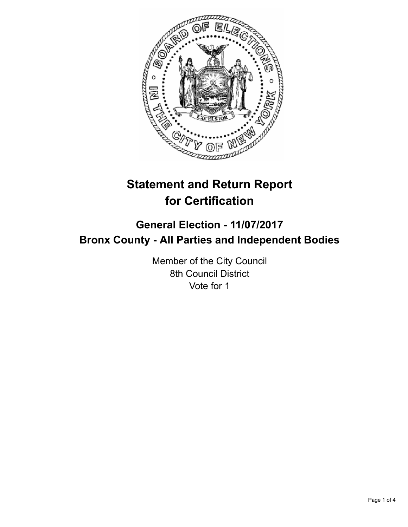

# **Statement and Return Report for Certification**

# **General Election - 11/07/2017 Bronx County - All Parties and Independent Bodies**

Member of the City Council 8th Council District Vote for 1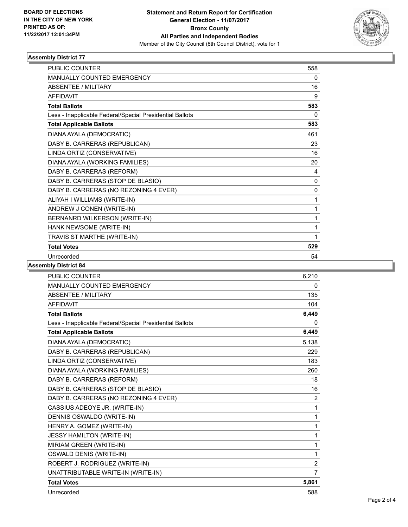

# **Assembly District 77**

| <b>PUBLIC COUNTER</b>                                    | 558 |
|----------------------------------------------------------|-----|
| MANUALLY COUNTED EMERGENCY                               | 0   |
| <b>ABSENTEE / MILITARY</b>                               | 16  |
| <b>AFFIDAVIT</b>                                         | 9   |
| <b>Total Ballots</b>                                     | 583 |
| Less - Inapplicable Federal/Special Presidential Ballots | 0   |
| <b>Total Applicable Ballots</b>                          | 583 |
| DIANA AYALA (DEMOCRATIC)                                 | 461 |
| DABY B. CARRERAS (REPUBLICAN)                            | 23  |
| LINDA ORTIZ (CONSERVATIVE)                               | 16  |
| DIANA AYALA (WORKING FAMILIES)                           | 20  |
| DABY B. CARRERAS (REFORM)                                | 4   |
| DABY B. CARRERAS (STOP DE BLASIO)                        | 0   |
| DABY B. CARRERAS (NO REZONING 4 EVER)                    | 0   |
| ALIYAH I WILLIAMS (WRITE-IN)                             | 1   |
| ANDREW J CONEN (WRITE-IN)                                | 1   |
| BERNANRD WILKERSON (WRITE-IN)                            | 1   |
| HANK NEWSOME (WRITE-IN)                                  | 1   |
| TRAVIS ST MARTHE (WRITE-IN)                              | 1   |
| <b>Total Votes</b>                                       | 529 |
| Unrecorded                                               | 54  |

#### **Assembly District 84**

| <b>PUBLIC COUNTER</b>                                    | 6,210          |
|----------------------------------------------------------|----------------|
| <b>MANUALLY COUNTED EMERGENCY</b>                        | 0              |
| <b>ABSENTEE / MILITARY</b>                               | 135            |
| <b>AFFIDAVIT</b>                                         | 104            |
| <b>Total Ballots</b>                                     | 6,449          |
| Less - Inapplicable Federal/Special Presidential Ballots | 0              |
| <b>Total Applicable Ballots</b>                          | 6,449          |
| DIANA AYALA (DEMOCRATIC)                                 | 5,138          |
| DABY B. CARRERAS (REPUBLICAN)                            | 229            |
| LINDA ORTIZ (CONSERVATIVE)                               | 183            |
| DIANA AYALA (WORKING FAMILIES)                           | 260            |
| DABY B. CARRERAS (REFORM)                                | 18             |
| DABY B. CARRERAS (STOP DE BLASIO)                        | 16             |
| DABY B. CARRERAS (NO REZONING 4 EVER)                    | 2              |
| CASSIUS ADEOYE JR. (WRITE-IN)                            | 1              |
| DENNIS OSWALDO (WRITE-IN)                                | 1              |
| HENRY A. GOMEZ (WRITE-IN)                                | 1              |
| <b>JESSY HAMILTON (WRITE-IN)</b>                         | 1              |
| MIRIAM GREEN (WRITE-IN)                                  | 1              |
| OSWALD DENIS (WRITE-IN)                                  | 1              |
| ROBERT J. RODRIGUEZ (WRITE-IN)                           | $\overline{2}$ |
| UNATTRIBUTABLE WRITE-IN (WRITE-IN)                       | 7              |
| <b>Total Votes</b>                                       | 5,861          |
| Unrecorded                                               | 588            |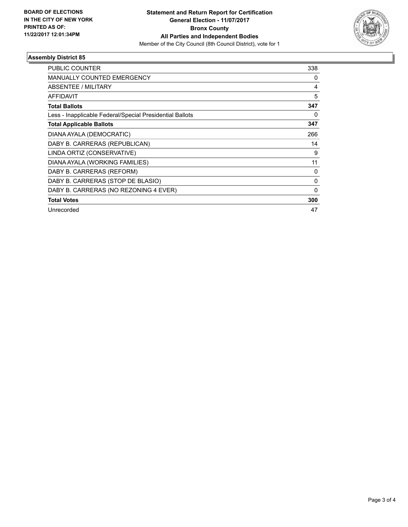

# **Assembly District 85**

| <b>PUBLIC COUNTER</b>                                    | 338      |
|----------------------------------------------------------|----------|
| <b>MANUALLY COUNTED EMERGENCY</b>                        | 0        |
| ABSENTEE / MILITARY                                      | 4        |
| <b>AFFIDAVIT</b>                                         | 5        |
| <b>Total Ballots</b>                                     | 347      |
| Less - Inapplicable Federal/Special Presidential Ballots | 0        |
| <b>Total Applicable Ballots</b>                          | 347      |
| DIANA AYALA (DEMOCRATIC)                                 | 266      |
| DABY B. CARRERAS (REPUBLICAN)                            | 14       |
| LINDA ORTIZ (CONSERVATIVE)                               | 9        |
| DIANA AYALA (WORKING FAMILIES)                           | 11       |
| DABY B. CARRERAS (REFORM)                                | 0        |
| DABY B. CARRERAS (STOP DE BLASIO)                        | $\Omega$ |
| DABY B. CARRERAS (NO REZONING 4 EVER)                    | $\Omega$ |
| <b>Total Votes</b>                                       | 300      |
| Unrecorded                                               | 47       |